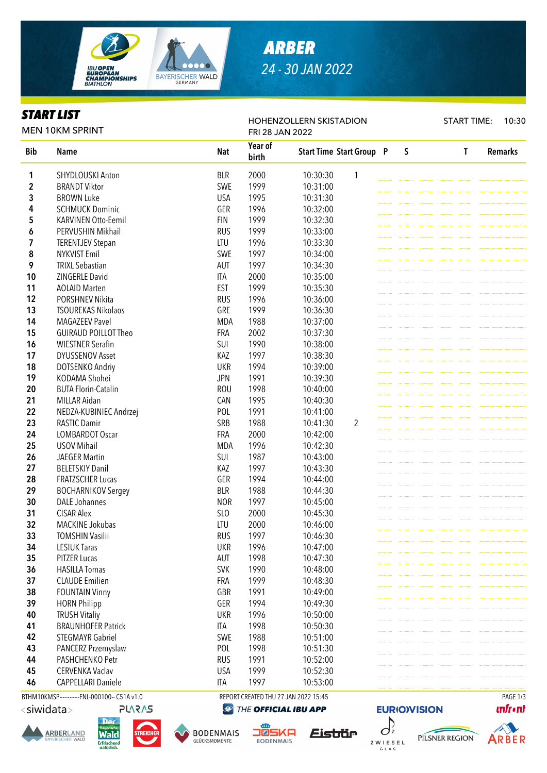

# *ARBER 24 - 30 JAN 2022*

HOHENZOLLERN SKISTADION

### *START LIST*

START TIME: 10:30

| <b>MEN 10KM SPRINT</b> |                             |            | FRI 28 JAN 2022  |          |                                 |  |   |  |  |   |                |
|------------------------|-----------------------------|------------|------------------|----------|---------------------------------|--|---|--|--|---|----------------|
| <b>Bib</b>             | <b>Name</b>                 | <b>Nat</b> | Year of<br>birth |          | <b>Start Time Start Group P</b> |  | S |  |  | T | <b>Remarks</b> |
| 1                      | <b>SHYDLOUSKI Anton</b>     | <b>BLR</b> | 2000             | 10:30:30 | $\mathbf{1}$                    |  |   |  |  |   |                |
| 2                      | <b>BRANDT Viktor</b>        | SWE        | 1999             | 10:31:00 |                                 |  |   |  |  |   |                |
| 3                      | <b>BROWN Luke</b>           | <b>USA</b> | 1995             | 10:31:30 |                                 |  |   |  |  |   |                |
| 4                      | <b>SCHMUCK Dominic</b>      | GER        | 1996             | 10:32:00 |                                 |  |   |  |  |   |                |
| 5                      | <b>KARVINEN Otto-Eemil</b>  | <b>FIN</b> | 1999             | 10:32:30 |                                 |  |   |  |  |   |                |
| 6                      | PERVUSHIN Mikhail           | <b>RUS</b> | 1999             | 10:33:00 |                                 |  |   |  |  |   |                |
| 7                      | <b>TERENTJEV Stepan</b>     | LTU        | 1996             | 10:33:30 |                                 |  |   |  |  |   |                |
| 8                      | <b>NYKVIST Emil</b>         | SWE        | 1997             | 10:34:00 |                                 |  |   |  |  |   |                |
| 9                      | <b>TRIXL Sebastian</b>      | AUT        | 1997             | 10:34:30 |                                 |  |   |  |  |   |                |
| 10                     | ZINGERLE David              | <b>ITA</b> | 2000             | 10:35:00 |                                 |  |   |  |  |   |                |
| 11                     | <b>AOLAID Marten</b>        | <b>EST</b> | 1999             | 10:35:30 |                                 |  |   |  |  |   |                |
| 12                     | <b>PORSHNEV Nikita</b>      | <b>RUS</b> | 1996             | 10:36:00 |                                 |  |   |  |  |   |                |
| 13                     | <b>TSOUREKAS Nikolaos</b>   | GRE        | 1999             | 10:36:30 |                                 |  |   |  |  |   |                |
| 14                     | <b>MAGAZEEV Pavel</b>       | <b>MDA</b> | 1988             | 10:37:00 |                                 |  |   |  |  |   |                |
| 15                     | <b>GUIRAUD POILLOT Theo</b> | FRA        | 2002             | 10:37:30 |                                 |  |   |  |  |   |                |
| 16                     | <b>WIESTNER Serafin</b>     | SUI        | 1990             | 10:38:00 |                                 |  |   |  |  |   |                |
| 17                     | <b>DYUSSENOV Asset</b>      | KAZ        | 1997             | 10:38:30 |                                 |  |   |  |  |   |                |
| 18                     | DOTSENKO Andriy             | <b>UKR</b> | 1994             | 10:39:00 |                                 |  |   |  |  |   |                |
| 19                     | KODAMA Shohei               | <b>JPN</b> | 1991             | 10:39:30 |                                 |  |   |  |  |   |                |
| 20                     | <b>BUTA Florin-Catalin</b>  | <b>ROU</b> | 1998             | 10:40:00 |                                 |  |   |  |  |   |                |
| 21                     | <b>MILLAR Aidan</b>         | CAN        | 1995             | 10:40:30 |                                 |  |   |  |  |   |                |
| 22                     | NEDZA-KUBINIEC Andrzej      | POL        | 1991             | 10:41:00 |                                 |  |   |  |  |   |                |
| 23                     | <b>RASTIC Damir</b>         | SRB        | 1988             | 10:41:30 | $\overline{2}$                  |  |   |  |  |   |                |
| 24                     | <b>LOMBARDOT Oscar</b>      | <b>FRA</b> | 2000             | 10:42:00 |                                 |  |   |  |  |   |                |
| 25                     | <b>USOV Mihail</b>          | <b>MDA</b> | 1996             | 10:42:30 |                                 |  |   |  |  |   |                |
| 26                     | <b>JAEGER Martin</b>        | SUI        | 1987             | 10:43:00 |                                 |  |   |  |  |   |                |
| 27                     | <b>BELETSKIY Danil</b>      | KAZ        | 1997             | 10:43:30 |                                 |  |   |  |  |   |                |
| 28                     | <b>FRATZSCHER Lucas</b>     | GER        | 1994             | 10:44:00 |                                 |  |   |  |  |   |                |
| 29                     | <b>BOCHARNIKOV Sergey</b>   | <b>BLR</b> | 1988             | 10:44:30 |                                 |  |   |  |  |   |                |
| 30                     | <b>DALE Johannes</b>        | <b>NOR</b> | 1997             | 10:45:00 |                                 |  |   |  |  |   |                |
| 31                     | <b>CISAR Alex</b>           | SLO        | 2000             | 10:45:30 |                                 |  |   |  |  |   |                |
| 32                     | <b>MACKINE Jokubas</b>      | LTU        | 2000             | 10:46:00 |                                 |  |   |  |  |   |                |
| 33                     | <b>TOMSHIN Vasilii</b>      | <b>RUS</b> | 1997             | 10:46:30 |                                 |  |   |  |  |   |                |
| 34                     | <b>LESIUK Taras</b>         | <b>UKR</b> | 1996             | 10:47:00 |                                 |  |   |  |  |   |                |
| 35                     | <b>PITZER Lucas</b>         | AUT        | 1998             | 10:47:30 |                                 |  |   |  |  |   |                |
| 36                     | <b>HASILLA Tomas</b>        | <b>SVK</b> | 1990             | 10:48:00 |                                 |  |   |  |  |   |                |
| 37                     | <b>CLAUDE Emilien</b>       | FRA        | 1999             | 10:48:30 |                                 |  |   |  |  |   |                |
| 38                     | <b>FOUNTAIN Vinny</b>       | GBR        | 1991             | 10:49:00 |                                 |  |   |  |  |   |                |
| 39                     | <b>HORN Philipp</b>         | GER        | 1994             | 10:49:30 |                                 |  |   |  |  |   |                |
| 40                     | <b>TRUSH Vitaliy</b>        | <b>UKR</b> | 1996             | 10:50:00 |                                 |  |   |  |  |   |                |
| 41                     | <b>BRAUNHOFER Patrick</b>   | <b>ITA</b> | 1998             | 10:50:30 |                                 |  |   |  |  |   |                |
| 42                     | <b>STEGMAYR Gabriel</b>     | SWE        | 1988             | 10:51:00 |                                 |  |   |  |  |   |                |
| 43                     | PANCERZ Przemyslaw          | POL        | 1998             | 10:51:30 |                                 |  |   |  |  |   |                |
| 44                     | PASHCHENKO Petr             | <b>RUS</b> | 1991             | 10:52:00 |                                 |  |   |  |  |   |                |
| 45                     | CERVENKA Vaclav             | <b>USA</b> | 1999             | 10:52:30 |                                 |  |   |  |  |   |                |
| 46                     | <b>CAPPELLARI Daniele</b>   | <b>ITA</b> | 1997             | 10:53:00 |                                 |  |   |  |  |   |                |

BTHM10KMSP------------FNL-000100-- C51A v1.0 REPORT CREATED THU 27 JAN 2022 15:45 PAGE 1/3<siwidata> **PLARAS** 

THE OFFICIAL IBU APP















**EURIO)VISION** 



**unfront**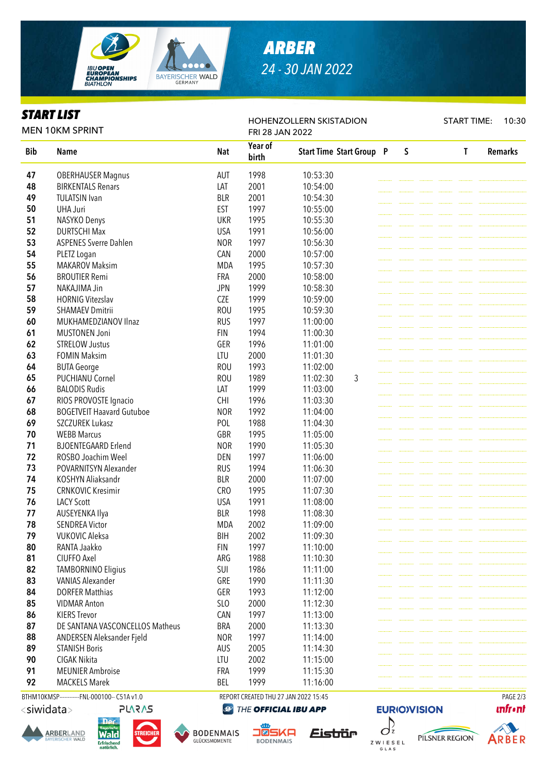

# *ARBER 24 - 30 JAN 2022*

HOHENZOLLERN SKISTADION

#### *START LIST*

START TIME: 10:30

| <b>MEN 10KM SPRINT</b> |                                  |                 | FRI 28 JAN 2022  |                                 |  |   |  |  |   |                |  |
|------------------------|----------------------------------|-----------------|------------------|---------------------------------|--|---|--|--|---|----------------|--|
| <b>Bib</b>             | <b>Name</b>                      | <b>Nat</b>      | Year of<br>birth | <b>Start Time Start Group P</b> |  | S |  |  | T | <b>Remarks</b> |  |
| 47                     | <b>OBERHAUSER Magnus</b>         | AUT             | 1998             | 10:53:30                        |  |   |  |  |   |                |  |
| 48                     | <b>BIRKENTALS Renars</b>         | LAT             | 2001             | 10:54:00                        |  |   |  |  |   |                |  |
| 49                     | <b>TULATSIN Ivan</b>             | <b>BLR</b>      | 2001             | 10:54:30                        |  |   |  |  |   |                |  |
| 50                     | <b>UHA Juri</b>                  | <b>EST</b>      | 1997             | 10:55:00                        |  |   |  |  |   |                |  |
| 51                     | NASYKO Denys                     | <b>UKR</b>      | 1995             | 10:55:30                        |  |   |  |  |   |                |  |
| 52                     | <b>DURTSCHI Max</b>              | <b>USA</b>      | 1991             | 10:56:00                        |  |   |  |  |   |                |  |
| 53                     | <b>ASPENES Sverre Dahlen</b>     | <b>NOR</b>      | 1997             | 10:56:30                        |  |   |  |  |   |                |  |
| 54                     | PLETZ Logan                      | CAN             | 2000             | 10:57:00                        |  |   |  |  |   |                |  |
| 55                     | <b>MAKAROV Maksim</b>            | <b>MDA</b>      | 1995             | 10:57:30                        |  |   |  |  |   |                |  |
| 56                     | <b>BROUTIER Remi</b>             | <b>FRA</b>      | 2000             | 10:58:00                        |  |   |  |  |   |                |  |
| 57                     | NAKAJIMA Jin                     | <b>JPN</b>      | 1999             | 10:58:30                        |  |   |  |  |   |                |  |
| 58                     | <b>HORNIG Vitezslav</b>          | <b>CZE</b>      | 1999             | 10:59:00                        |  |   |  |  |   |                |  |
| 59                     | <b>SHAMAEV Dmitrii</b>           | <b>ROU</b>      | 1995             | 10:59:30                        |  |   |  |  |   |                |  |
| 60                     | MUKHAMEDZIANOV Ilnaz             | <b>RUS</b>      | 1997             | 11:00:00                        |  |   |  |  |   |                |  |
| 61                     | <b>MUSTONEN Joni</b>             | <b>FIN</b>      | 1994             | 11:00:30                        |  |   |  |  |   |                |  |
| 62                     | <b>STRELOW Justus</b>            | GER             | 1996             | 11:01:00                        |  |   |  |  |   |                |  |
| 63                     | <b>FOMIN Maksim</b>              | LTU             | 2000             | 11:01:30                        |  |   |  |  |   |                |  |
| 64                     | <b>BUTA George</b>               | <b>ROU</b>      | 1993             | 11:02:00                        |  |   |  |  |   |                |  |
| 65                     | <b>PUCHIANU Cornel</b>           | <b>ROU</b>      | 1989             | 3<br>11:02:30                   |  |   |  |  |   |                |  |
| 66                     |                                  | LAT             | 1999             |                                 |  |   |  |  |   |                |  |
| 67                     | <b>BALODIS Rudis</b>             |                 |                  | 11:03:00                        |  |   |  |  |   |                |  |
|                        | RIOS PROVOSTE Ignacio            | <b>CHI</b>      | 1996             | 11:03:30                        |  |   |  |  |   |                |  |
| 68                     | <b>BOGETVEIT Haavard Gutuboe</b> | <b>NOR</b>      | 1992             | 11:04:00                        |  |   |  |  |   |                |  |
| 69                     | SZCZUREK Lukasz                  | POL             | 1988             | 11:04:30                        |  |   |  |  |   |                |  |
| 70                     | <b>WEBB Marcus</b>               | GBR             | 1995             | 11:05:00                        |  |   |  |  |   |                |  |
| 71                     | <b>BJOENTEGAARD Erlend</b>       | <b>NOR</b>      | 1990             | 11:05:30                        |  |   |  |  |   |                |  |
| 72                     | ROSBO Joachim Weel               | DEN             | 1997             | 11:06:00                        |  |   |  |  |   |                |  |
| 73                     | POVARNITSYN Alexander            | <b>RUS</b>      | 1994             | 11:06:30                        |  |   |  |  |   |                |  |
| 74                     | KOSHYN Aliaksandr                | <b>BLR</b>      | 2000             | 11:07:00                        |  |   |  |  |   |                |  |
| 75                     | <b>CRNKOVIC Kresimir</b>         | CR <sub>O</sub> | 1995             | 11:07:30                        |  |   |  |  |   |                |  |
| 76                     | <b>LACY Scott</b>                | <b>USA</b>      | 1991             | 11:08:00                        |  |   |  |  |   |                |  |
| 77                     | AUSEYENKA Ilya                   | <b>BLR</b>      | 1998             | 11:08:30                        |  |   |  |  |   |                |  |
| 78                     | <b>SENDREA Victor</b>            | <b>MDA</b>      | 2002             | 11:09:00                        |  |   |  |  |   |                |  |
| 79                     | <b>VUKOVIC Aleksa</b>            | <b>BIH</b>      | 2002             | 11:09:30                        |  |   |  |  |   |                |  |
| 80                     | RANTA Jaakko                     | <b>FIN</b>      | 1997             | 11:10:00                        |  |   |  |  |   |                |  |
| 81                     | CIUFFO Axel                      | ARG             | 1988             | 11:10:30                        |  |   |  |  |   |                |  |
| 82                     | <b>TAMBORNINO Eligius</b>        | SUI             | 1986             | 11:11:00                        |  |   |  |  |   |                |  |
| 83                     | <b>VANIAS Alexander</b>          | GRE             | 1990             | 11:11:30                        |  |   |  |  |   |                |  |
| 84                     | <b>DORFER Matthias</b>           | GER             | 1993             | 11:12:00                        |  |   |  |  |   |                |  |
| 85                     | <b>VIDMAR Anton</b>              | SLO             | 2000             | 11:12:30                        |  |   |  |  |   |                |  |
| 86                     | <b>KIERS Trevor</b>              | CAN             | 1997             | 11:13:00                        |  |   |  |  |   |                |  |
| 87                     | DE SANTANA VASCONCELLOS Matheus  | <b>BRA</b>      | 2000             | 11:13:30                        |  |   |  |  |   |                |  |
| 88                     | ANDERSEN Aleksander Fjeld        | <b>NOR</b>      | 1997             | 11:14:00                        |  |   |  |  |   |                |  |
| 89                     | <b>STANISH Boris</b>             | AUS             | 2005             | 11:14:30                        |  |   |  |  |   |                |  |
| 90                     | CIGAK Nikita                     | LTU             | 2002             | 11:15:00                        |  |   |  |  |   |                |  |
| 91                     | <b>MEUNIER Ambroise</b>          | <b>FRA</b>      | 1999             | 11:15:30                        |  |   |  |  |   |                |  |
| 92                     | <b>MACKELS Marek</b>             | <b>BEL</b>      | 1999             | 11:16:00                        |  |   |  |  |   |                |  |

BTHM10KMSP------------FNL-000100-- C51A v1.0 REPORT CREATED THU 27 JAN 2022 15:45 PAGE 2/3

<siwidata>

**ARBERLAND** 







THE OFFICIAL IBU APP



G L A S